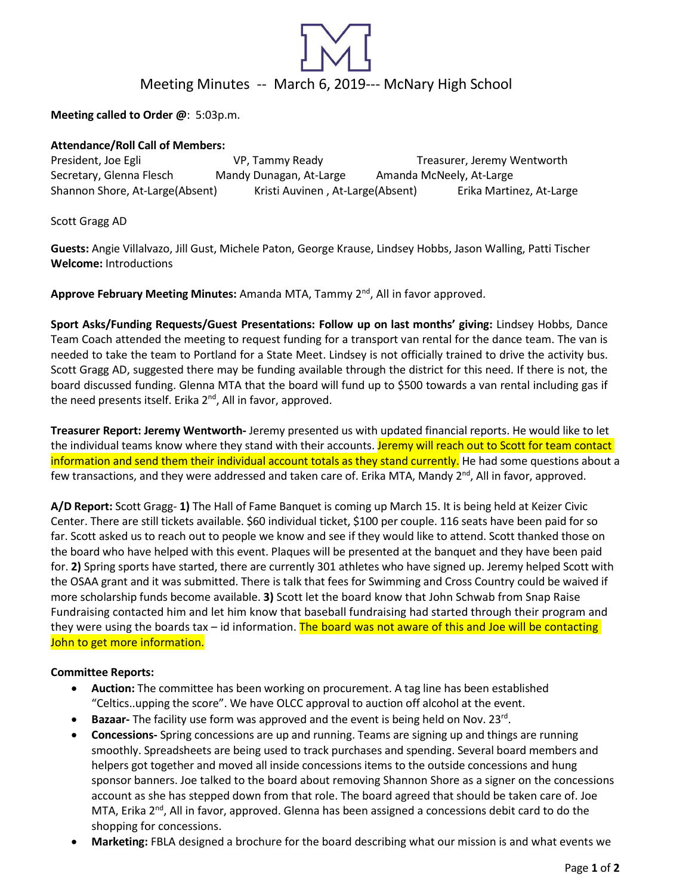

**Meeting called to Order @**: 5:03p.m.

## **Attendance/Roll Call of Members:**

President, Joe Egli **State Commentary Comments** VP, Tammy Ready Treasurer, Jeremy Wentworth Secretary, Glenna Flesch Mandy Dunagan, At-Large Amanda McNeely, At-Large Shannon Shore, At-Large(Absent) Kristi Auvinen , At-Large(Absent) Erika Martinez, At-Large

Scott Gragg AD

**Guests:** Angie Villalvazo, Jill Gust, Michele Paton, George Krause, Lindsey Hobbs, Jason Walling, Patti Tischer **Welcome:** Introductions

**Approve February Meeting Minutes:** Amanda MTA, Tammy 2nd, All in favor approved.

**Sport Asks/Funding Requests/Guest Presentations: Follow up on last months' giving:** Lindsey Hobbs, Dance Team Coach attended the meeting to request funding for a transport van rental for the dance team. The van is needed to take the team to Portland for a State Meet. Lindsey is not officially trained to drive the activity bus. Scott Gragg AD, suggested there may be funding available through the district for this need. If there is not, the board discussed funding. Glenna MTA that the board will fund up to \$500 towards a van rental including gas if the need presents itself. Erika 2<sup>nd</sup>, All in favor, approved.

**Treasurer Report: Jeremy Wentworth-** Jeremy presented us with updated financial reports. He would like to let the individual teams know where they stand with their accounts. Jeremy will reach out to Scott for team contact information and send them their individual account totals as they stand currently. He had some questions about a few transactions, and they were addressed and taken care of. Erika MTA, Mandy  $2^{nd}$ , All in favor, approved.

**A/D Report:** Scott Gragg- **1)** The Hall of Fame Banquet is coming up March 15. It is being held at Keizer Civic Center. There are still tickets available. \$60 individual ticket, \$100 per couple. 116 seats have been paid for so far. Scott asked us to reach out to people we know and see if they would like to attend. Scott thanked those on the board who have helped with this event. Plaques will be presented at the banquet and they have been paid for. **2)** Spring sports have started, there are currently 301 athletes who have signed up. Jeremy helped Scott with the OSAA grant and it was submitted. There is talk that fees for Swimming and Cross Country could be waived if more scholarship funds become available. **3)** Scott let the board know that John Schwab from Snap Raise Fundraising contacted him and let him know that baseball fundraising had started through their program and they were using the boards tax – id information. The board was not aware of this and Joe will be contacting John to get more information.

# **Committee Reports:**

- **Auction:** The committee has been working on procurement. A tag line has been established "Celtics..upping the score". We have OLCC approval to auction off alcohol at the event.
- **Bazaar-** The facility use form was approved and the event is being held on Nov. 23rd.
- **Concessions-** Spring concessions are up and running. Teams are signing up and things are running smoothly. Spreadsheets are being used to track purchases and spending. Several board members and helpers got together and moved all inside concessions items to the outside concessions and hung sponsor banners. Joe talked to the board about removing Shannon Shore as a signer on the concessions account as she has stepped down from that role. The board agreed that should be taken care of. Joe MTA, Erika 2<sup>nd</sup>, All in favor, approved. Glenna has been assigned a concessions debit card to do the shopping for concessions.
- **Marketing:** FBLA designed a brochure for the board describing what our mission is and what events we